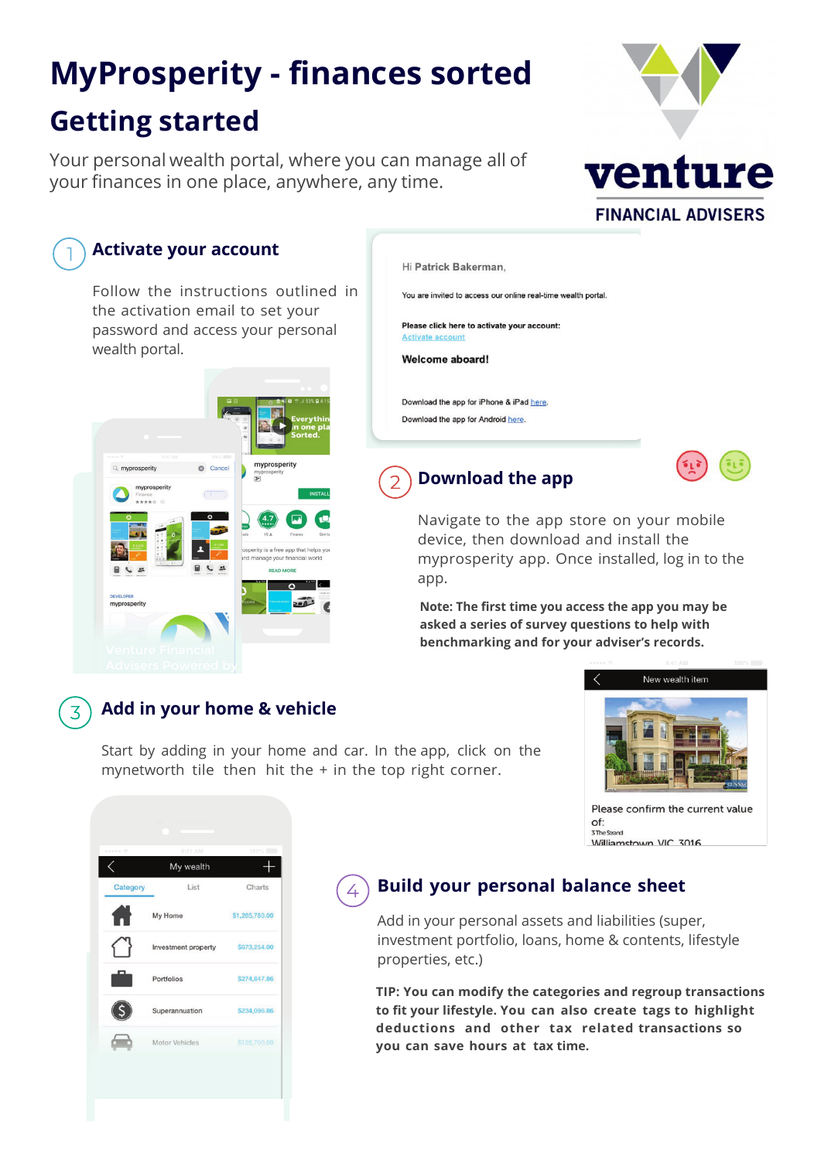# **MyProsperity - finances sorted Getting started**

Your personal wealth portal, where you can manage all of your finances in one place, anywhere, any time.



## **Activate your account**

Follow the instructions outlined in the activation email to set your password and access your personal wealth portal.



Hi Patrick Bakerman,

You are invited to access our online real-time wealth portal.

Please click here to activate your account: Activate accoun

Welcome aboard!

Download the app for iPhone & iPad here Download the app for Android here.





Navigate to the app store on your mobile device, then download and install the myprosperity app. Once installed, log in to the app.

**Note: The first time you access the app you may be asked a series of survey questions to help with benchmarking and for your adviser's records.**

#### **Add in your home & vehicle**

Start by adding in your home and car. In the app, click on the mynetworth tile then hit the  $+$  in the top right corner.



Please confirm the current value of: 3 The Strand Williamstown VIC 3016

#### **Build your personal balance sheet**

Add in your personal assets and liabilities (super, investment portfolio, loans, home & contents, lifestyle properties, etc.)

**TIP: You can modify the categories and regroup transactions to fit your lifestyle. You can also create tags to highlight deductions and other tax related transactions so you can save hours at tax time.**